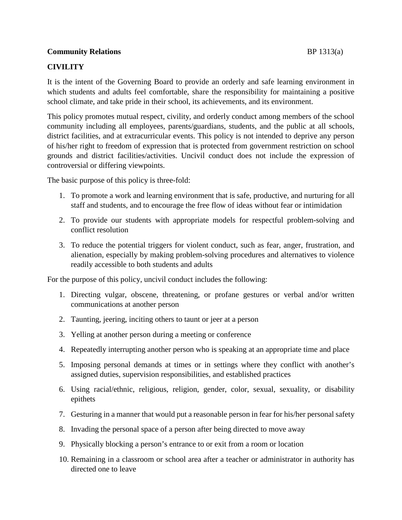## **Community Relations** BP 1313(a)

# **CIVILITY**

It is the intent of the Governing Board to provide an orderly and safe learning environment in which students and adults feel comfortable, share the responsibility for maintaining a positive school climate, and take pride in their school, its achievements, and its environment.

This policy promotes mutual respect, civility, and orderly conduct among members of the school community including all employees, parents/guardians, students, and the public at all schools, district facilities, and at extracurricular events. This policy is not intended to deprive any person of his/her right to freedom of expression that is protected from government restriction on school grounds and district facilities/activities. Uncivil conduct does not include the expression of controversial or differing viewpoints.

The basic purpose of this policy is three-fold:

- 1. To promote a work and learning environment that is safe, productive, and nurturing for all staff and students, and to encourage the free flow of ideas without fear or intimidation
- 2. To provide our students with appropriate models for respectful problem-solving and conflict resolution
- 3. To reduce the potential triggers for violent conduct, such as fear, anger, frustration, and alienation, especially by making problem-solving procedures and alternatives to violence readily accessible to both students and adults

For the purpose of this policy, uncivil conduct includes the following:

- 1. Directing vulgar, obscene, threatening, or profane gestures or verbal and/or written communications at another person
- 2. Taunting, jeering, inciting others to taunt or jeer at a person
- 3. Yelling at another person during a meeting or conference
- 4. Repeatedly interrupting another person who is speaking at an appropriate time and place
- 5. Imposing personal demands at times or in settings where they conflict with another's assigned duties, supervision responsibilities, and established practices
- 6. Using racial/ethnic, religious, religion, gender, color, sexual, sexuality, or disability epithets
- 7. Gesturing in a manner that would put a reasonable person in fear for his/her personal safety
- 8. Invading the personal space of a person after being directed to move away
- 9. Physically blocking a person's entrance to or exit from a room or location
- 10. Remaining in a classroom or school area after a teacher or administrator in authority has directed one to leave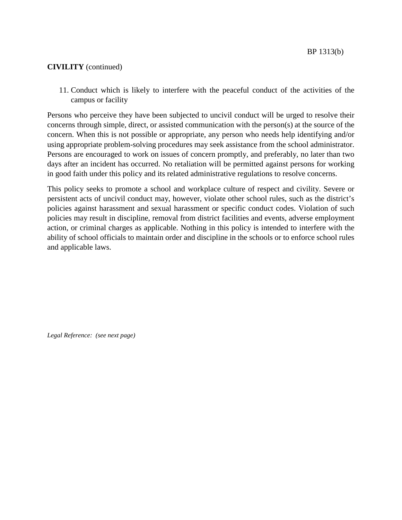11. Conduct which is likely to interfere with the peaceful conduct of the activities of the campus or facility

Persons who perceive they have been subjected to uncivil conduct will be urged to resolve their concerns through simple, direct, or assisted communication with the person(s) at the source of the concern. When this is not possible or appropriate, any person who needs help identifying and/or using appropriate problem-solving procedures may seek assistance from the school administrator. Persons are encouraged to work on issues of concern promptly, and preferably, no later than two days after an incident has occurred. No retaliation will be permitted against persons for working in good faith under this policy and its related administrative regulations to resolve concerns.

This policy seeks to promote a school and workplace culture of respect and civility. Severe or persistent acts of uncivil conduct may, however, violate other school rules, such as the district's policies against harassment and sexual harassment or specific conduct codes. Violation of such policies may result in discipline, removal from district facilities and events, adverse employment action, or criminal charges as applicable. Nothing in this policy is intended to interfere with the ability of school officials to maintain order and discipline in the schools or to enforce school rules and applicable laws.

*Legal Reference: (see next page)*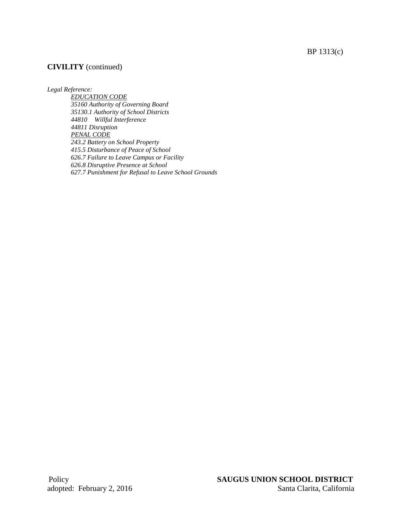BP 1313(c)

## **CIVILITY** (continued)

*Legal Reference:*

*EDUCATION CODE 35160 Authority of Governing Board 35130.1 Authority of School Districts 44810 Willful Interference 44811 Disruption PENAL CODE 243.2 Battery on School Property 415.5 Disturbance of Peace of School 626.7 Failure to Leave Campus or Facility 626.8 Disruptive Presence at School 627.7 Punishment for Refusal to Leave School Grounds*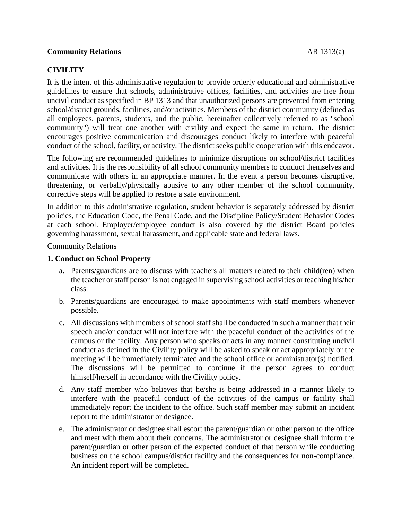### **Community Relations** AR 1313(a)

# **CIVILITY**

It is the intent of this administrative regulation to provide orderly educational and administrative guidelines to ensure that schools, administrative offices, facilities, and activities are free from uncivil conduct as specified in BP 1313 and that unauthorized persons are prevented from entering school/district grounds, facilities, and/or activities. Members of the district community (defined as all employees, parents, students, and the public, hereinafter collectively referred to as "school community") will treat one another with civility and expect the same in return. The district encourages positive communication and discourages conduct likely to interfere with peaceful conduct of the school, facility, or activity. The district seeks public cooperation with this endeavor.

The following are recommended guidelines to minimize disruptions on school/district facilities and activities. It is the responsibility of all school community members to conduct themselves and communicate with others in an appropriate manner. In the event a person becomes disruptive, threatening, or verbally/physically abusive to any other member of the school community, corrective steps will be applied to restore a safe environment.

In addition to this administrative regulation, student behavior is separately addressed by district policies, the Education Code, the Penal Code, and the Discipline Policy/Student Behavior Codes at each school. Employer/employee conduct is also covered by the district Board policies governing harassment, sexual harassment, and applicable state and federal laws.

Community Relations

#### **1. Conduct on School Property**

- a. Parents/guardians are to discuss with teachers all matters related to their child(ren) when the teacher or staff person is not engaged in supervising school activities or teaching his/her class.
- b. Parents/guardians are encouraged to make appointments with staff members whenever possible.
- c. All discussions with members of school staff shall be conducted in such a manner that their speech and/or conduct will not interfere with the peaceful conduct of the activities of the campus or the facility. Any person who speaks or acts in any manner constituting uncivil conduct as defined in the Civility policy will be asked to speak or act appropriately or the meeting will be immediately terminated and the school office or administrator(s) notified. The discussions will be permitted to continue if the person agrees to conduct himself/herself in accordance with the Civility policy.
- d. Any staff member who believes that he/she is being addressed in a manner likely to interfere with the peaceful conduct of the activities of the campus or facility shall immediately report the incident to the office. Such staff member may submit an incident report to the administrator or designee.
- e. The administrator or designee shall escort the parent/guardian or other person to the office and meet with them about their concerns. The administrator or designee shall inform the parent/guardian or other person of the expected conduct of that person while conducting business on the school campus/district facility and the consequences for non-compliance. An incident report will be completed.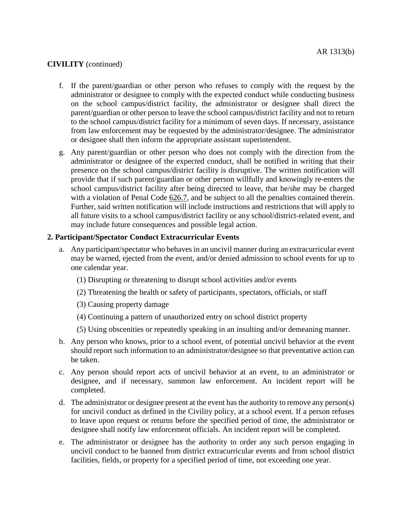- f. If the parent/guardian or other person who refuses to comply with the request by the administrator or designee to comply with the expected conduct while conducting business on the school campus/district facility, the administrator or designee shall direct the parent/guardian or other person to leave the school campus/district facility and not to return to the school campus/district facility for a minimum of seven days. If necessary, assistance from law enforcement may be requested by the administrator/designee. The administrator or designee shall then inform the appropriate assistant superintendent.
- g. Any parent/guardian or other person who does not comply with the direction from the administrator or designee of the expected conduct, shall be notified in writing that their presence on the school campus/district facility is disruptive. The written notification will provide that if such parent/guardian or other person willfully and knowingly re-enters the school campus/district facility after being directed to leave, that he/she may be charged with a violation of Penal Code [626.7,](http://www.gamutonline.net/district/newportmesa/displayPolicy/169387/1) and be subject to all the penalties contained therein. Further, said written notification will include instructions and restrictions that will apply to all future visits to a school campus/district facility or any school/district-related event, and may include future consequences and possible legal action.

## **2. Participant/Spectator Conduct Extracurricular Events**

- a. Any participant/spectator who behaves in an uncivil manner during an extracurricular event may be warned, ejected from the event, and/or denied admission to school events for up to one calendar year.
	- (1) Disrupting or threatening to disrupt school activities and/or events
	- (2) Threatening the health or safety of participants, spectators, officials, or staff
	- (3) Causing property damage
	- (4) Continuing a pattern of unauthorized entry on school district property
	- (5) Using obscenities or repeatedly speaking in an insulting and/or demeaning manner.
- b. Any person who knows, prior to a school event, of potential uncivil behavior at the event should report such information to an administrator/designee so that preventative action can be taken.
- c. Any person should report acts of uncivil behavior at an event, to an administrator or designee, and if necessary, summon law enforcement. An incident report will be completed.
- d. The administrator or designee present at the event has the authority to remove any person(s) for uncivil conduct as defined in the Civility policy, at a school event. If a person refuses to leave upon request or returns before the specified period of time, the administrator or designee shall notify law enforcement officials. An incident report will be completed.
- e. The administrator or designee has the authority to order any such person engaging in uncivil conduct to be banned from district extracurricular events and from school district facilities, fields, or property for a specified period of time, not exceeding one year.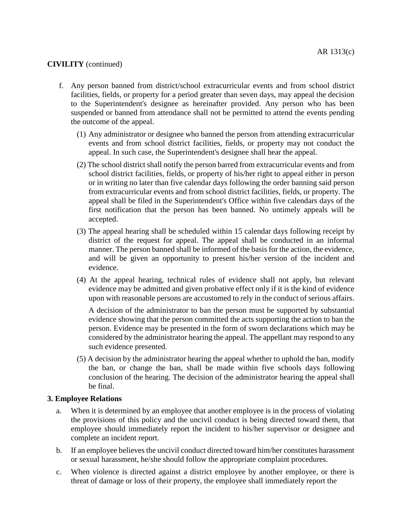- f. Any person banned from district/school extracurricular events and from school district facilities, fields, or property for a period greater than seven days, may appeal the decision to the Superintendent's designee as hereinafter provided. Any person who has been suspended or banned from attendance shall not be permitted to attend the events pending the outcome of the appeal.
	- (1) Any administrator or designee who banned the person from attending extracurricular events and from school district facilities, fields, or property may not conduct the appeal. In such case, the Superintendent's designee shall hear the appeal.
	- (2) The school district shall notify the person barred from extracurricular events and from school district facilities, fields, or property of his/her right to appeal either in person or in writing no later than five calendar days following the order banning said person from extracurricular events and from school district facilities, fields, or property. The appeal shall be filed in the Superintendent's Office within five calendars days of the first notification that the person has been banned. No untimely appeals will be accepted.
	- (3) The appeal hearing shall be scheduled within 15 calendar days following receipt by district of the request for appeal. The appeal shall be conducted in an informal manner. The person banned shall be informed of the basis for the action, the evidence, and will be given an opportunity to present his/her version of the incident and evidence.
	- (4) At the appeal hearing, technical rules of evidence shall not apply, but relevant evidence may be admitted and given probative effect only if it is the kind of evidence upon with reasonable persons are accustomed to rely in the conduct of serious affairs.

A decision of the administrator to ban the person must be supported by substantial evidence showing that the person committed the acts supporting the action to ban the person. Evidence may be presented in the form of sworn declarations which may be considered by the administrator hearing the appeal. The appellant may respond to any such evidence presented.

(5) A decision by the administrator hearing the appeal whether to uphold the ban, modify the ban, or change the ban, shall be made within five schools days following conclusion of the hearing. The decision of the administrator hearing the appeal shall be final.

### **3. Employee Relations**

- a. When it is determined by an employee that another employee is in the process of violating the provisions of this policy and the uncivil conduct is being directed toward them, that employee should immediately report the incident to his/her supervisor or designee and complete an incident report.
- b. If an employee believes the uncivil conduct directed toward him/her constitutes harassment or sexual harassment, he/she should follow the appropriate complaint procedures.
- c. When violence is directed against a district employee by another employee, or there is threat of damage or loss of their property, the employee shall immediately report the